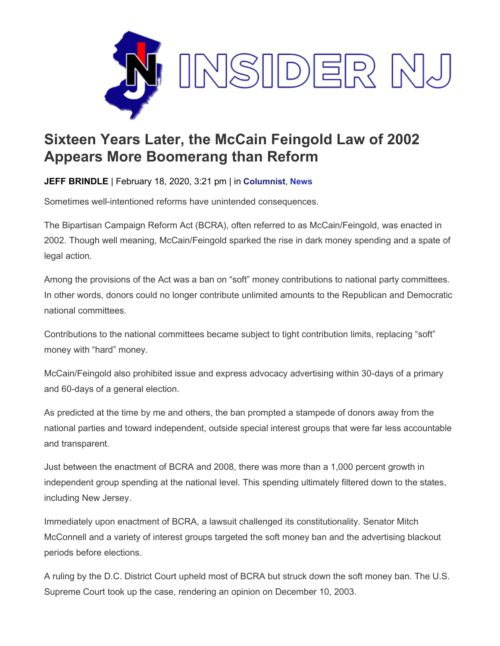

## **Sixteen Years Later, the McCain Feingold Law of 2002 Appears More Boomerang than Reform**

**JEFF BRINDLE** | February 18, 2020, 3:21 pm | in **[Columnist](https://www.insidernj.com/category/columnist/)**, **[News](https://www.insidernj.com/category/news/)**

Sometimes well-intentioned reforms have unintended consequences.

The Bipartisan Campaign Reform Act (BCRA), often referred to as McCain/Feingold, was enacted in 2002. Though well meaning, McCain/Feingold sparked the rise in dark money spending and a spate of legal action.

Among the provisions of the Act was a ban on "soft" money contributions to national party committees. In other words, donors could no longer contribute unlimited amounts to the Republican and Democratic national committees.

Contributions to the national committees became subject to tight contribution limits, replacing "soft" money with "hard" money.

McCain/Feingold also prohibited issue and express advocacy advertising within 30-days of a primary and 60-days of a general election.

As predicted at the time by me and others, the ban prompted a stampede of donors away from the national parties and toward independent, outside special interest groups that were far less accountable and transparent.

Just between the enactment of BCRA and 2008, there was more than a 1,000 percent growth in independent group spending at the national level. This spending ultimately filtered down to the states, including New Jersey.

Immediately upon enactment of BCRA, a lawsuit challenged its constitutionality. Senator Mitch McConnell and a variety of interest groups targeted the soft money ban and the advertising blackout periods before elections.

A ruling by the D.C. District Court upheld most of BCRA but struck down the soft money ban. The U.S. Supreme Court took up the case, rendering an opinion on December 10, 2003.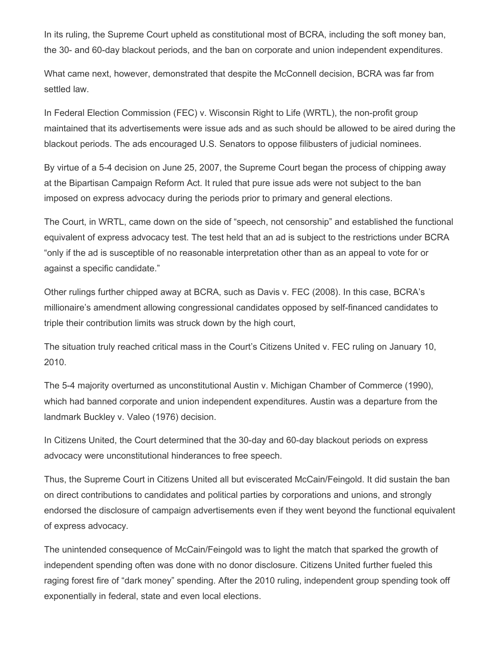In its ruling, the Supreme Court upheld as constitutional most of BCRA, including the soft money ban, the 30- and 60-day blackout periods, and the ban on corporate and union independent expenditures.

What came next, however, demonstrated that despite the McConnell decision, BCRA was far from settled law.

In Federal Election Commission (FEC) v. Wisconsin Right to Life (WRTL), the non-profit group maintained that its advertisements were issue ads and as such should be allowed to be aired during the blackout periods. The ads encouraged U.S. Senators to oppose filibusters of judicial nominees.

By virtue of a 5-4 decision on June 25, 2007, the Supreme Court began the process of chipping away at the Bipartisan Campaign Reform Act. It ruled that pure issue ads were not subject to the ban imposed on express advocacy during the periods prior to primary and general elections.

The Court, in WRTL, came down on the side of "speech, not censorship" and established the functional equivalent of express advocacy test. The test held that an ad is subject to the restrictions under BCRA "only if the ad is susceptible of no reasonable interpretation other than as an appeal to vote for or against a specific candidate."

Other rulings further chipped away at BCRA, such as Davis v. FEC (2008). In this case, BCRA's millionaire's amendment allowing congressional candidates opposed by self-financed candidates to triple their contribution limits was struck down by the high court,

The situation truly reached critical mass in the Court's Citizens United v. FEC ruling on January 10, 2010.

The 5-4 majority overturned as unconstitutional Austin v. Michigan Chamber of Commerce (1990), which had banned corporate and union independent expenditures. Austin was a departure from the landmark Buckley v. Valeo (1976) decision.

In Citizens United, the Court determined that the 30-day and 60-day blackout periods on express advocacy were unconstitutional hinderances to free speech.

Thus, the Supreme Court in Citizens United all but eviscerated McCain/Feingold. It did sustain the ban on direct contributions to candidates and political parties by corporations and unions, and strongly endorsed the disclosure of campaign advertisements even if they went beyond the functional equivalent of express advocacy.

The unintended consequence of McCain/Feingold was to light the match that sparked the growth of independent spending often was done with no donor disclosure. Citizens United further fueled this raging forest fire of "dark money" spending. After the 2010 ruling, independent group spending took off exponentially in federal, state and even local elections.